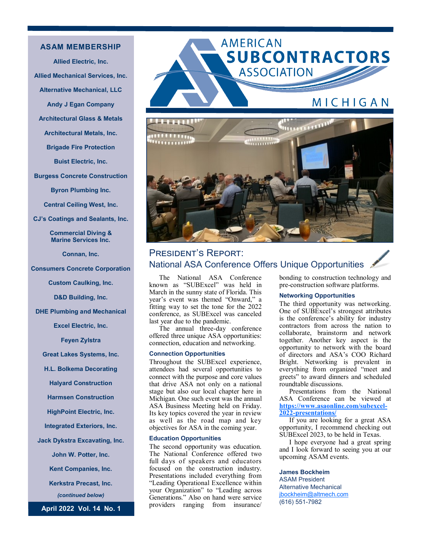# **ASAM MEMBERSHIP**

**Allied Electric, Inc. Allied Mechanical Services, Inc. Alternative Mechanical, LLC Andy J Egan Company Architectural Glass & Metals Architectural Metals, Inc. Brigade Fire Protection Buist Electric, Inc. Burgess Concrete Construction Byron Plumbing Inc. Central Ceiling West, Inc.**

**CJ's Coatings and Sealants, Inc.** 

**Commercial Diving & Marine Services Inc.**

**Connan, Inc.** 

**Consumers Concrete Corporation**

**Custom Caulking, Inc.** 

**D&D Building, Inc.** 

**DHE Plumbing and Mechanical**

**Excel Electric, Inc.** 

**Feyen Zylstra**

**Great Lakes Systems, Inc.** 

**H.L. Bolkema Decorating**

**Halyard Construction**

**Harmsen Construction**

**HighPoint Electric, Inc.** 

**Integrated Exteriors, Inc.**

**Jack Dykstra Excavating, Inc.** 

**John W. Potter, Inc.**

**Kent Companies, Inc.** 

**Kerkstra Precast, Inc.** 

*(continued below)*

**April 2022 Vol. 14 No. 1**

# AMERICAN **SUBCONTRACTORS ASSOCIATION** <u>MICHIGAN</u>



# President's Report: National ASA Conference Offers Unique Opportunities

The National ASA Conference known as "SUBExcel" was held in March in the sunny state of Florida. This year's event was themed "Onward," a fitting way to set the tone for the 2022 conference, as SUBExcel was canceled last year due to the pandemic.

The annual three-day conference offered three unique ASA opportunities: connection, education and networking.

#### **Connection Opportunities**

Throughout the SUBExcel experience, attendees had several opportunities to connect with the purpose and core values that drive ASA not only on a national stage but also our local chapter here in Michigan. One such event was the annual ASA Business Meeting held on Friday. Its key topics covered the year in review as well as the road map and key objectives for ASA in the coming year.

#### **Education Opportunities**

The second opportunity was education. The National Conference offered two full days of speakers and educators focused on the construction industry. Presentations included everything from "Leading Operational Excellence within your Organization" to "Leading across Generations." Also on hand were service providers ranging from insurance/

bonding to construction technology and pre-construction software platforms.

#### **Networking Opportunities**

The third opportunity was networking. One of SUBExcel's strongest attributes is the conference's ability for industry contractors from across the nation to collaborate, brainstorm and network together. Another key aspect is the opportunity to network with the board of directors and ASA's COO Richard Bright. Networking is prevalent in everything from organized "meet and greets" to award dinners and scheduled roundtable discussions.

Presentations from the National ASA Conference can be viewed at **[https://www.asaonline.com/subexcel](https://www.asaonline.com/subexcel-2022-presentations/)-2022-[presentations/](https://www.asaonline.com/subexcel-2022-presentations/)** 

If you are looking for a great ASA opportunity, I recommend checking out SUBExcel 2023, to be held in Texas.

I hope everyone had a great spring and I look forward to seeing you at our upcoming ASAM events.

# **James Bockheim** ASAM President Alternative Mechanical [jbockheim@altmech.com](mailto:jbockheim@altmech.com) (616) 551-7982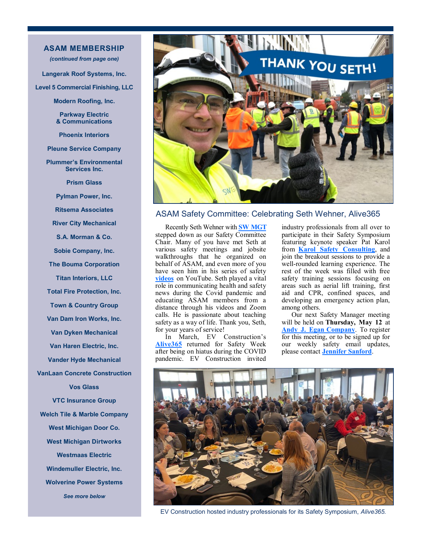# **ASAM MEMBERSHIP**

*(continued from page one)*

**Langerak Roof Systems, Inc.**

**Level 5 Commercial Finishing, LLC**

**Modern Roofing, Inc.** 

**Parkway Electric & Communications**

**Phoenix Interiors**

**Pleune Service Company**

**Plummer's Environmental Services Inc.** 

**Prism Glass**

**Pylman Power, Inc.** 

**Ritsema Associates**

**River City Mechanical** 

**S.A. Morman & Co.**

**Sobie Company, Inc.** 

**The Bouma Corporation**

**Titan Interiors, LLC**

**Total Fire Protection, Inc.** 

**Town & Country Group**

**Van Dam Iron Works, Inc.** 

**Van Dyken Mechanical**

**Van Haren Electric, Inc.** 

**Vander Hyde Mechanical** 

**VanLaan Concrete Construction** 

**Vos Glass**

**VTC Insurance Group Welch Tile & Marble Company West Michigan Door Co. West Michigan Dirtworks Westmaas Electric Windemuller Electric, Inc. Wolverine Power Systems**

*See more below*



# ASAM Safety Committee: Celebrating Seth Wehner, Alive365

Recently Seth Wehner with **[SW MGT](http://swmgtsafety.com/)** stepped down as our Safety Committee Chair. Many of you have met Seth at various safety meetings and jobsite walkthroughs that he organized on behalf of ASAM, and even more of you have seen him in his series of safety **[videos](https://www.youtube.com/c/SWMGT)** on [YouTube.](about:blank) Seth played a vital role in communicating health and safety news during the Covid pandemic and educating ASAM members from a distance through his videos and Zoom calls. He is passionate about teaching safety as a way of life. Thank you, Seth, for your years of service!

In March, EV Construction's **[Alive365](https://ev.construction/safety-week/)** returned for Safety Week after being on hiatus during the COVID pandemic. EV Construction invited

industry professionals from all over to participate in their Safety Symposium featuring keynote speaker Pat Karol from **[Karol Safety Consulting](https://karolconsulting.com/)**, and join the breakout sessions to provide a well-rounded learning experience. The rest of the week was filled with free safety training sessions focusing on areas such as aerial lift training, first aid and CPR, confined spaces, and developing an emergency action plan, among others.

Our next Safety Manager meeting will be held on **Thursday, May 12** at **[Andy J. Egan](http://www.andyegan.com) Company**. To register for this meeting, or to be signed up for our weekly safety email updates, please contact **[Jennifer Sanford](mailto:sanfordj@phoenix-interiors.com)**.



EV Construction hosted industry professionals for its Safety Symposium, *Alive365.*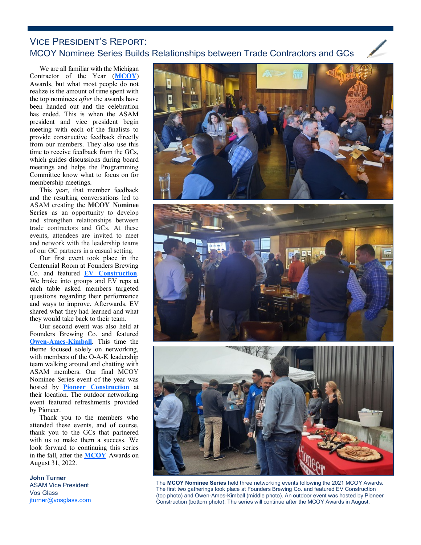# Vice President's Report: MCOY Nominee Series Builds Relationships between Trade Contractors and GCs

We are all familiar with the Michigan Contractor of the Year (**[MCOY](https://asamichigan.net/mcoy-awards)**) Awards, but what most people do not realize is the amount of time spent with the top nominees *after* the awards have been handed out and the celebration has ended. This is when the ASAM president and vice president begin meeting with each of the finalists to provide constructive feedback directly from our members. They also use this time to receive feedback from the GCs, which guides discussions during board meetings and helps the Programming Committee know what to focus on for membership meetings.

This year, that member feedback and the resulting conversations led to ASAM creating the **MCOY Nominee Series** as an opportunity to develop and strengthen relationships between trade contractors and GCs. At these events, attendees are invited to meet and network with the leadership teams of our GC partners in a casual setting.

Our first event took place in the Centennial Room at Founders Brewing Co. and featured **[EV Construction](https://ev.construction/)**. We broke into groups and EV reps at each table asked members targeted questions regarding their performance and ways to improve. Afterwards, EV shared what they had learned and what they would take back to their team.

Our second event was also held at Founders Brewing Co. and featured **Owen-Ames-[Kimball](https://www.owen-ames-kimball.com/)**. This time the theme focused solely on networking, with members of the O-A-K leadership team walking around and chatting with ASAM members. Our final MCOY Nominee Series event of the year was hosted by **[Pioneer Construction](https://www.pioneerinc.com/)** at their [location.](about:blank) The outdoor networking event featured refreshments provided by Pioneer.

Thank you to the members who attended these events, and of course, thank you to the GCs that partnered with us to make them a success. We look forward to continuing this series in the fall, after the **[MCOY](https://asamichigan.net/mcoy-awards)** Awards on August 31, 2022.

## **John Turner** ASAM Vice President Vos Glass

[jturner@vosglass.com](mailto:jturner@vosglass.com)



The **MCOY Nominee Series** held three networking events following the 2021 MCOY Awards. The first two gatherings took place at Founders Brewing Co. and featured EV Construction (top photo) and Owen-Ames-Kimball (middle photo). An outdoor event was hosted by Pioneer Construction (bottom photo). The series will continue after the MCOY Awards in August.